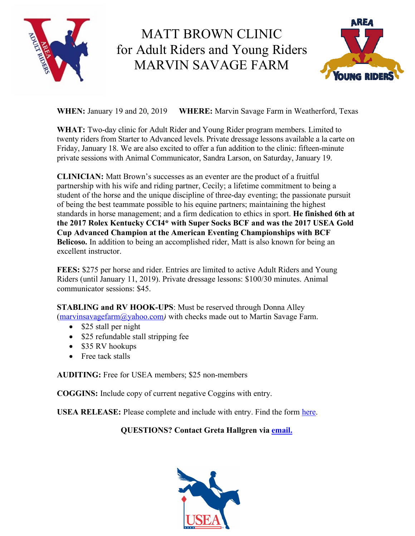

## MATT BROWN CLINIC for Adult Riders and Young Riders MARVIN SAVAGE FARM



**WHEN:** January 19 and 20, 2019 **WHERE:** Marvin Savage Farm in Weatherford, Texas

**WHAT:** Two-day clinic for Adult Rider and Young Rider program members. Limited to twenty riders from Starter to Advanced levels. Private dressage lessons available a la carte on Friday, January 18. We are also excited to offer a fun addition to the clinic: fifteen-minute private sessions with Animal Communicator, Sandra Larson, on Saturday, January 19.

**CLINICIAN:** Matt Brown's successes as an eventer are the product of a fruitful partnership with his wife and riding partner, Cecily; a lifetime commitment to being a student of the horse and the unique discipline of three-day eventing; the passionate pursuit of being the best teammate possible to his equine partners; maintaining the highest standards in horse management; and a firm dedication to ethics in sport. **He finished 6th at the 2017 Rolex Kentucky CCI4\* with Super Socks BCF and was the 2017 USEA Gold Cup Advanced Champion at the American Eventing Championships with BCF Belicoso.** In addition to being an accomplished rider, Matt is also known for being an excellent instructor.

**FEES:** \$275 per horse and rider. Entries are limited to active Adult Riders and Young Riders (until January 11, 2019). Private dressage lessons: \$100/30 minutes. Animal communicator sessions: \$45.

**STABLING and RV HOOK-UPS**: Must be reserved through Donna Alley (marvinsavagefarm@yahoo.com*)* with checks made out to Martin Savage Farm.

- \$25 stall per night
- \$25 refundable stall stripping fee
- \$35 RV hookups
- Free tack stalls

**AUDITING:** Free for USEA members; \$25 non-members

**COGGINS:** Include copy of current negative Coggins with entry.

**USEA RELEASE:** Please complete and include with entry. Find the form here.

## **QUESTIONS? Contact Greta Hallgren via email.**